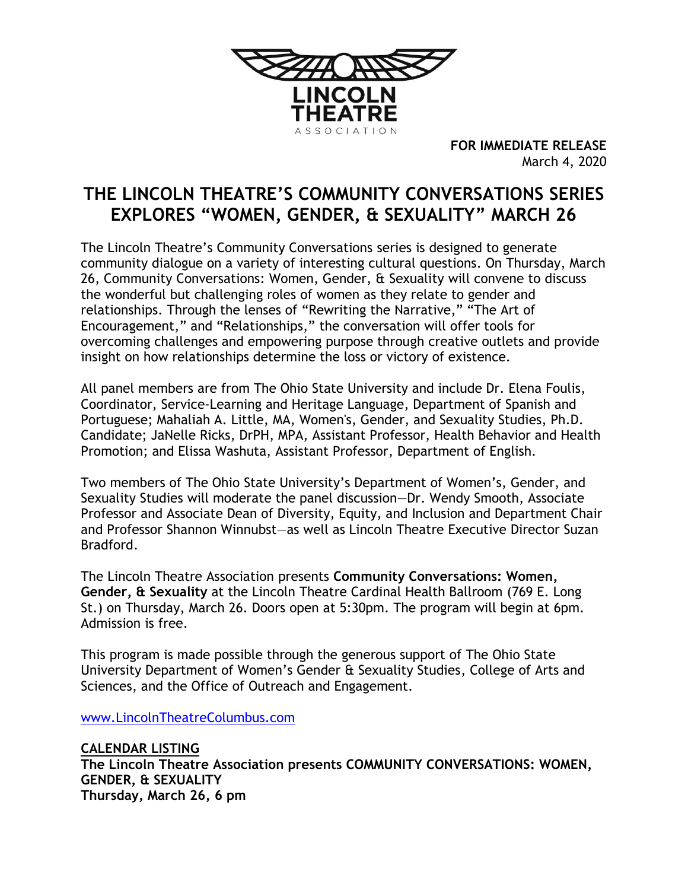

**FOR IMMEDIATE RELEASE** March 4, 2020

## **THE LINCOLN THEATRE'S COMMUNITY CONVERSATIONS SERIES EXPLORES "WOMEN, GENDER, & SEXUALITY" MARCH 26**

The Lincoln Theatre's Community Conversations series is designed to generate community dialogue on a variety of interesting cultural questions. On Thursday, March 26, Community Conversations: Women, Gender, & Sexuality will convene to discuss the wonderful but challenging roles of women as they relate to gender and relationships. Through the lenses of "Rewriting the Narrative," "The Art of Encouragement," and "Relationships," the conversation will offer tools for overcoming challenges and empowering purpose through creative outlets and provide insight on how relationships determine the loss or victory of existence.

All panel members are from The Ohio State University and include Dr. Elena Foulis, Coordinator, Service-Learning and Heritage Language, Department of Spanish and Portuguese; Mahaliah A. Little, MA, Women's, Gender, and Sexuality Studies, Ph.D. Candidate; JaNelle Ricks, DrPH, MPA, Assistant Professor, Health Behavior and Health Promotion; and Elissa Washuta, Assistant Professor, Department of English.

Two members of The Ohio State University's Department of Women's, Gender, and Sexuality Studies will moderate the panel discussion—Dr. Wendy Smooth, Associate Professor and Associate Dean of Diversity, Equity, and Inclusion and Department Chair and Professor Shannon Winnubst—as well as Lincoln Theatre Executive Director Suzan Bradford.

The Lincoln Theatre Association presents **Community Conversations: Women, Gender, & Sexuality** at the Lincoln Theatre Cardinal Health Ballroom (769 E. Long St.) on Thursday, March 26. Doors open at 5:30pm. The program will begin at 6pm. Admission is free.

This program is made possible through the generous support of The Ohio State University Department of Women's Gender & Sexuality Studies, College of Arts and Sciences, and the Office of Outreach and Engagement.

[www.LincolnTheatreColumbus.com](http://www.lincolntheatrecolumbus.com/)

**CALENDAR LISTING The Lincoln Theatre Association presents COMMUNITY CONVERSATIONS: WOMEN, GENDER, & SEXUALITY Thursday, March 26, 6 pm**